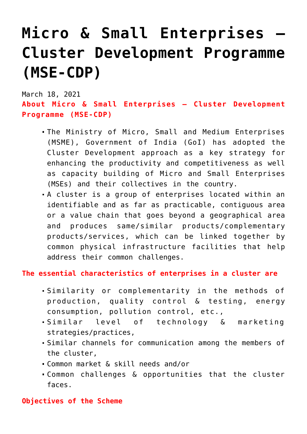# **[Micro & Small Enterprises –](https://journalsofindia.com/micro-small-enterprises-cluster-development-programme-mse-cdp/) [Cluster Development Programme](https://journalsofindia.com/micro-small-enterprises-cluster-development-programme-mse-cdp/) [\(MSE-CDP\)](https://journalsofindia.com/micro-small-enterprises-cluster-development-programme-mse-cdp/)**

March 18, 2021

**About Micro & Small Enterprises – Cluster Development Programme (MSE-CDP)**

- The Ministry of Micro, Small and Medium Enterprises (MSME), Government of India (GoI) has adopted the Cluster Development approach as a key strategy for enhancing the productivity and competitiveness as well as capacity building of Micro and Small Enterprises (MSEs) and their collectives in the country.
- A cluster is a group of enterprises located within an identifiable and as far as practicable, contiguous area or a value chain that goes beyond a geographical area and produces same/similar products/complementary products/services, which can be linked together by common physical infrastructure facilities that help address their common challenges.

# **The essential characteristics of enterprises in a cluster are**

- Similarity or complementarity in the methods of production, quality control & testing, energy consumption, pollution control, etc.,
- Similar level of technology & marketing strategies/practices,
- Similar channels for communication among the members of the cluster,
- Common market & skill needs and/or
- Common challenges & opportunities that the cluster faces.

## **Objectives of the Scheme**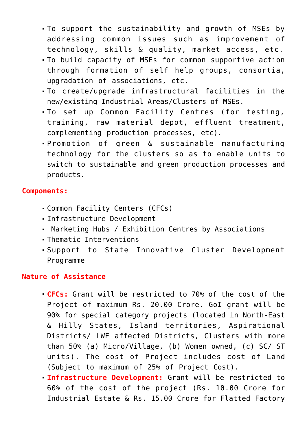- To support the sustainability and growth of MSEs by addressing common issues such as improvement of technology, skills & quality, market access, etc.
- To build capacity of MSEs for common supportive action through formation of self help groups, consortia, upgradation of associations, etc.
- To create/upgrade infrastructural facilities in the new/existing Industrial Areas/Clusters of MSEs.
- To set up Common Facility Centres (for testing, training, raw material depot, effluent treatment, complementing production processes, etc).
- Promotion of green & sustainable manufacturing technology for the clusters so as to enable units to switch to sustainable and green production processes and products.

## **Components:**

- Common Facility Centers (CFCs)
- Infrastructure Development
- Marketing Hubs / Exhibition Centres by Associations
- Thematic Interventions
- Support to State Innovative Cluster Development Programme

## **Nature of Assistance**

- **CFCs:** Grant will be restricted to 70% of the cost of the Project of maximum Rs. 20.00 Crore. GoI grant will be 90% for special category projects (located in North-East & Hilly States, Island territories, Aspirational Districts/ LWE affected Districts, Clusters with more than 50% (a) Micro/Village, (b) Women owned, (c) SC/ ST units). The cost of Project includes cost of Land (Subject to maximum of 25% of Project Cost).
- **Infrastructure Development:** Grant will be restricted to 60% of the cost of the project (Rs. 10.00 Crore for Industrial Estate & Rs. 15.00 Crore for Flatted Factory